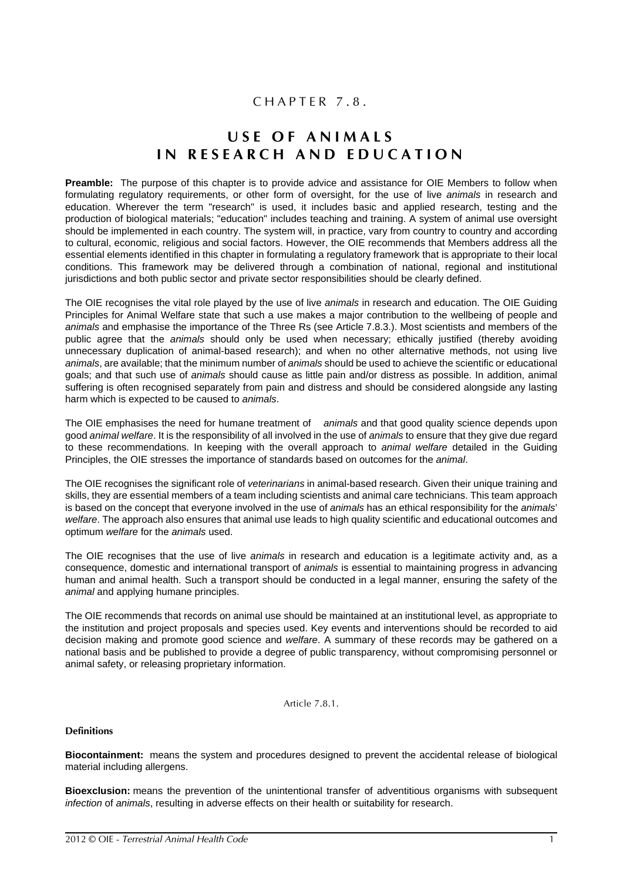## CHAPTER 7.8.

# **USE OF ANIMALS IN RESEARCH AND EDUCATION**

**Preamble:** The purpose of this chapter is to provide advice and assistance for OIE Members to follow when formulating regulatory requirements, or other form of oversight, for the use of live *animals* in research and education. Wherever the term "research" is used, it includes basic and applied research, testing and the production of biological materials; "education" includes teaching and training. A system of animal use oversight should be implemented in each country. The system will, in practice, vary from country to country and according to cultural, economic, religious and social factors. However, the OIE recommends that Members address all the essential elements identified in this chapter in formulating a regulatory framework that is appropriate to their local conditions. This framework may be delivered through a combination of national, regional and institutional jurisdictions and both public sector and private sector responsibilities should be clearly defined.

The OIE recognises the vital role played by the use of live *animals* in research and education. The OIE Guiding Principles for Animal Welfare state that such a use makes a major contribution to the wellbeing of people and *animals* and emphasise the importance of the Three Rs (see Article [7.8.3.\)](#page-2-0). Most scientists and members of the public agree that the *animals* should only be used when necessary; ethically justified (thereby avoiding unnecessary duplication of animal-based research); and when no other alternative methods, not using live *animals*, are available; that the minimum number of *animals* should be used to achieve the scientific or educational goals; and that such use of *animals* should cause as little pain and/or distress as possible. In addition, animal suffering is often recognised separately from pain and distress and should be considered alongside any lasting harm which is expected to be caused to *animals*.

The OIE emphasises the need for humane treatment of *animals* and that good quality science depends upon good *animal welfare*. It is the responsibility of all involved in the use of *animals* to ensure that they give due regard to these recommendations. In keeping with the overall approach to *animal welfare* detailed in the Guiding Principles, the OIE stresses the importance of standards based on outcomes for the *animal*.

The OIE recognises the significant role of *veterinarians* in animal-based research. Given their unique training and skills, they are essential members of a team including scientists and animal care technicians. This team approach is based on the concept that everyone involved in the use of *animals* has an ethical responsibility for the *animals*' *welfare*. The approach also ensures that animal use leads to high quality scientific and educational outcomes and optimum *welfare* for the *animals* used.

The OIE recognises that the use of live *animals* in research and education is a legitimate activity and, as a consequence, domestic and international transport of *animals* is essential to maintaining progress in advancing human and animal health. Such a transport should be conducted in a legal manner, ensuring the safety of the *animal* and applying humane principles.

The OIE recommends that records on animal use should be maintained at an institutional level, as appropriate to the institution and project proposals and species used. Key events and interventions should be recorded to aid decision making and promote good science and *welfare*. A summary of these records may be gathered on a national basis and be published to provide a degree of public transparency, without compromising personnel or animal safety, or releasing proprietary information.

Article 7.8.1.

#### **Definitions**

**Biocontainment:** means the system and procedures designed to prevent the accidental release of biological material including allergens.

**Bioexclusion:** means the prevention of the unintentional transfer of adventitious organisms with subsequent *infection* of *animals*, resulting in adverse effects on their health or suitability for research.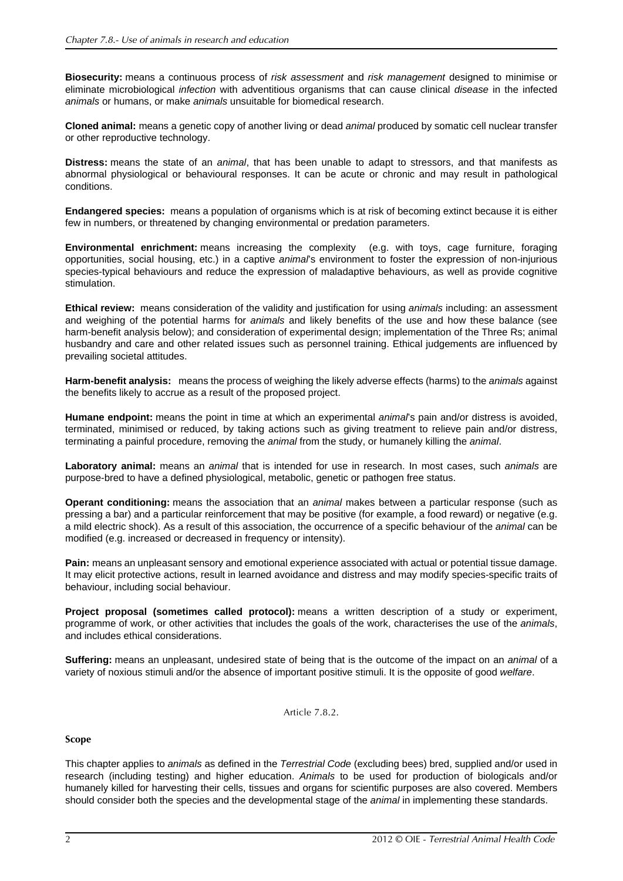**Biosecurity:** means a continuous process of *risk assessment* and *risk management* designed to minimise or eliminate microbiological *infection* with adventitious organisms that can cause clinical *disease* in the infected *animals* or humans, or make *animals* unsuitable for biomedical research.

**Cloned animal:** means a genetic copy of another living or dead *animal* produced by somatic cell nuclear transfer or other reproductive technology.

**Distress:** means the state of an *animal*, that has been unable to adapt to stressors, and that manifests as abnormal physiological or behavioural responses. It can be acute or chronic and may result in pathological conditions.

**Endangered species:** means a population of organisms which is at risk of becoming extinct because it is either few in numbers, or threatened by changing environmental or predation parameters.

**Environmental enrichment:** means increasing the complexity (e.g. with toys, cage furniture, foraging opportunities, social housing, etc.) in a captive *animal*'s environment to foster the expression of non-injurious species-typical behaviours and reduce the expression of maladaptive behaviours, as well as provide cognitive stimulation.

**Ethical review:** means consideration of the validity and justification for using *animals* including: an assessment and weighing of the potential harms for *animals* and likely benefits of the use and how these balance (see harm-benefit analysis below); and consideration of experimental design; implementation of the Three Rs; animal husbandry and care and other related issues such as personnel training. Ethical judgements are influenced by prevailing societal attitudes.

**Harm-benefit analysis:** means the process of weighing the likely adverse effects (harms) to the *animals* against the benefits likely to accrue as a result of the proposed project.

**Humane endpoint:** means the point in time at which an experimental *animal*'s pain and/or distress is avoided, terminated, minimised or reduced, by taking actions such as giving treatment to relieve pain and/or distress, terminating a painful procedure, removing the *animal* from the study, or humanely killing the *animal*.

**Laboratory animal:** means an *animal* that is intended for use in research. In most cases, such *animals* are purpose-bred to have a defined physiological, metabolic, genetic or pathogen free status.

**Operant conditioning:** means the association that an *animal* makes between a particular response (such as pressing a bar) and a particular reinforcement that may be positive (for example, a food reward) or negative (e.g. a mild electric shock). As a result of this association, the occurrence of a specific behaviour of the *animal* can be modified (e.g. increased or decreased in frequency or intensity).

**Pain:** means an unpleasant sensory and emotional experience associated with actual or potential tissue damage. It may elicit protective actions, result in learned avoidance and distress and may modify species-specific traits of behaviour, including social behaviour.

**Project proposal (sometimes called protocol):** means a written description of a study or experiment, programme of work, or other activities that includes the goals of the work, characterises the use of the *animals*, and includes ethical considerations.

**Suffering:** means an unpleasant, undesired state of being that is the outcome of the impact on an *animal* of a variety of noxious stimuli and/or the absence of important positive stimuli. It is the opposite of good *welfare*.

Article 7.8.2.

#### **Scope**

This chapter applies to *animals* as defined in the *Terrestrial Code* (excluding bees) bred, supplied and/or used in research (including testing) and higher education. *Animals* to be used for production of biologicals and/or humanely killed for harvesting their cells, tissues and organs for scientific purposes are also covered. Members should consider both the species and the developmental stage of the *animal* in implementing these standards.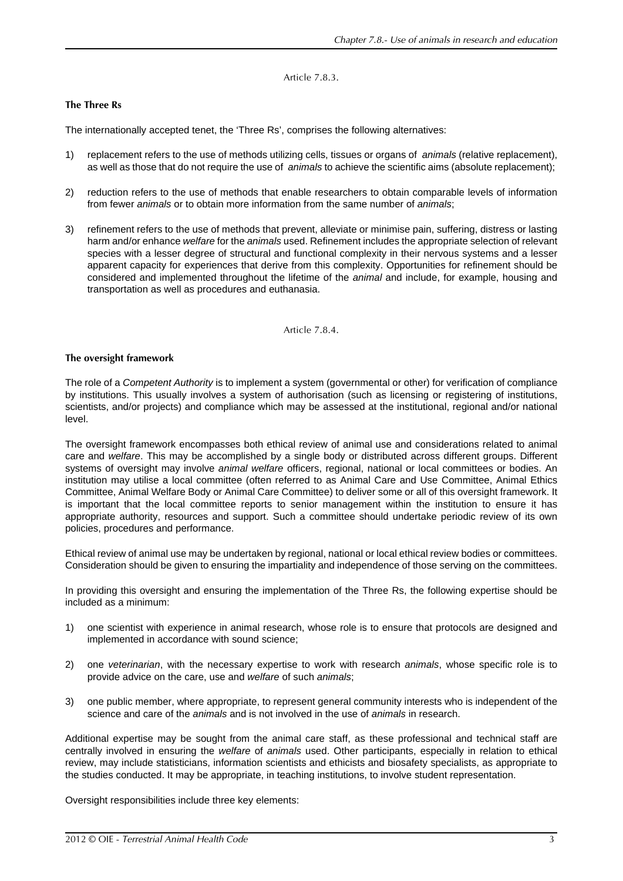## Article 7.8.3.

## <span id="page-2-0"></span>**The Three Rs**

The internationally accepted tenet, the 'Three Rs', comprises the following alternatives:

- 1) replacement refers to the use of methods utilizing cells, tissues or organs of *animals* (relative replacement), as well as those that do not require the use of *animals* to achieve the scientific aims (absolute replacement);
- 2) reduction refers to the use of methods that enable researchers to obtain comparable levels of information from fewer *animals* or to obtain more information from the same number of *animals*;
- 3) refinement refers to the use of methods that prevent, alleviate or minimise pain, suffering, distress or lasting harm and/or enhance *welfare* for the *animals* used. Refinement includes the appropriate selection of relevant species with a lesser degree of structural and functional complexity in their nervous systems and a lesser apparent capacity for experiences that derive from this complexity. Opportunities for refinement should be considered and implemented throughout the lifetime of the *animal* and include, for example, housing and transportation as well as procedures and euthanasia.

Article 7.8.4.

## <span id="page-2-1"></span>**The oversight framework**

The role of a *Competent Authority* is to implement a system (governmental or other) for verification of compliance by institutions. This usually involves a system of authorisation (such as licensing or registering of institutions, scientists, and/or projects) and compliance which may be assessed at the institutional, regional and/or national level.

The oversight framework encompasses both ethical review of animal use and considerations related to animal care and *welfare*. This may be accomplished by a single body or distributed across different groups. Different systems of oversight may involve *animal welfare* officers, regional, national or local committees or bodies. An institution may utilise a local committee (often referred to as Animal Care and Use Committee, Animal Ethics Committee, Animal Welfare Body or Animal Care Committee) to deliver some or all of this oversight framework. It is important that the local committee reports to senior management within the institution to ensure it has appropriate authority, resources and support. Such a committee should undertake periodic review of its own policies, procedures and performance.

Ethical review of animal use may be undertaken by regional, national or local ethical review bodies or committees. Consideration should be given to ensuring the impartiality and independence of those serving on the committees.

In providing this oversight and ensuring the implementation of the Three Rs, the following expertise should be included as a minimum:

- 1) one scientist with experience in animal research, whose role is to ensure that protocols are designed and implemented in accordance with sound science;
- 2) one *veterinarian*, with the necessary expertise to work with research *animals*, whose specific role is to provide advice on the care, use and *welfare* of such *animals*;
- 3) one public member, where appropriate, to represent general community interests who is independent of the science and care of the *animals* and is not involved in the use of *animals* in research.

Additional expertise may be sought from the animal care staff, as these professional and technical staff are centrally involved in ensuring the *welfare* of *animals* used. Other participants, especially in relation to ethical review, may include statisticians, information scientists and ethicists and biosafety specialists, as appropriate to the studies conducted. It may be appropriate, in teaching institutions, to involve student representation.

Oversight responsibilities include three key elements: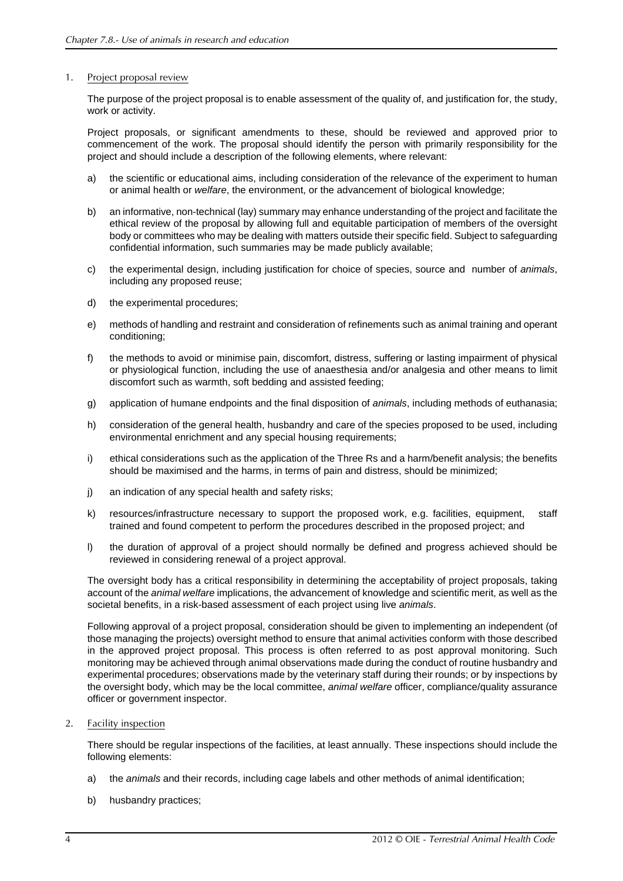#### 1. Project proposal review

The purpose of the project proposal is to enable assessment of the quality of, and justification for, the study, work or activity.

Project proposals, or significant amendments to these, should be reviewed and approved prior to commencement of the work. The proposal should identify the person with primarily responsibility for the project and should include a description of the following elements, where relevant:

- a) the scientific or educational aims, including consideration of the relevance of the experiment to human or animal health or *welfare*, the environment, or the advancement of biological knowledge;
- b) an informative, non-technical (lay) summary may enhance understanding of the project and facilitate the ethical review of the proposal by allowing full and equitable participation of members of the oversight body or committees who may be dealing with matters outside their specific field. Subject to safeguarding confidential information, such summaries may be made publicly available;
- c) the experimental design, including justification for choice of species, source and number of *animals*, including any proposed reuse;
- d) the experimental procedures;
- e) methods of handling and restraint and consideration of refinements such as animal training and operant conditioning;
- f) the methods to avoid or minimise pain, discomfort, distress, suffering or lasting impairment of physical or physiological function, including the use of anaesthesia and/or analgesia and other means to limit discomfort such as warmth, soft bedding and assisted feeding;
- g) application of humane endpoints and the final disposition of *animals*, including methods of euthanasia;
- h) consideration of the general health, husbandry and care of the species proposed to be used, including environmental enrichment and any special housing requirements;
- i) ethical considerations such as the application of the Three Rs and a harm/benefit analysis; the benefits should be maximised and the harms, in terms of pain and distress, should be minimized;
- j) an indication of any special health and safety risks;
- k) resources/infrastructure necessary to support the proposed work, e.g. facilities, equipment, staff trained and found competent to perform the procedures described in the proposed project; and
- l) the duration of approval of a project should normally be defined and progress achieved should be reviewed in considering renewal of a project approval.

The oversight body has a critical responsibility in determining the acceptability of project proposals, taking account of the *animal welfare* implications, the advancement of knowledge and scientific merit, as well as the societal benefits, in a risk-based assessment of each project using live *animals*.

Following approval of a project proposal, consideration should be given to implementing an independent (of those managing the projects) oversight method to ensure that animal activities conform with those described in the approved project proposal. This process is often referred to as post approval monitoring. Such monitoring may be achieved through animal observations made during the conduct of routine husbandry and experimental procedures; observations made by the veterinary staff during their rounds; or by inspections by the oversight body, which may be the local committee, *animal welfare* officer, compliance/quality assurance officer or government inspector.

2. Facility inspection

There should be regular inspections of the facilities, at least annually. These inspections should include the following elements:

- a) the *animals* and their records, including cage labels and other methods of animal identification;
- b) husbandry practices;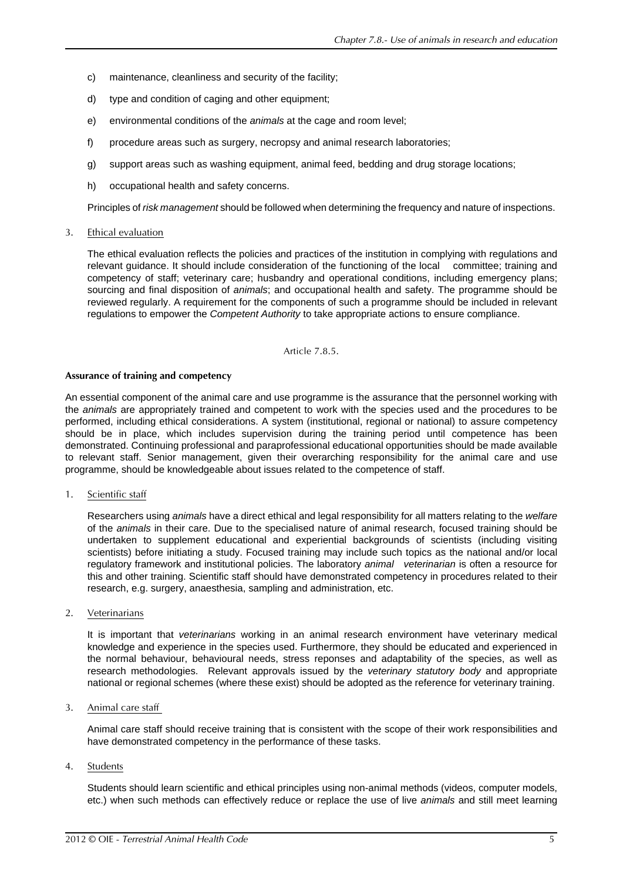- c) maintenance, cleanliness and security of the facility;
- d) type and condition of caging and other equipment;
- e) environmental conditions of the *animals* at the cage and room level;
- f) procedure areas such as surgery, necropsy and animal research laboratories;
- g) support areas such as washing equipment, animal feed, bedding and drug storage locations;
- h) occupational health and safety concerns.

Principles of *risk management* should be followed when determining the frequency and nature of inspections.

#### 3. Ethical evaluation

The ethical evaluation reflects the policies and practices of the institution in complying with regulations and relevant guidance. It should include consideration of the functioning of the local committee; training and competency of staff; veterinary care; husbandry and operational conditions, including emergency plans; sourcing and final disposition of *animals*; and occupational health and safety. The programme should be reviewed regularly. A requirement for the components of such a programme should be included in relevant regulations to empower the *Competent Authority* to take appropriate actions to ensure compliance.

Article 7.8.5.

#### **Assurance of training and competency**

An essential component of the animal care and use programme is the assurance that the personnel working with the *animals* are appropriately trained and competent to work with the species used and the procedures to be performed, including ethical considerations. A system (institutional, regional or national) to assure competency should be in place, which includes supervision during the training period until competence has been demonstrated. Continuing professional and paraprofessional educational opportunities should be made available to relevant staff. Senior management, given their overarching responsibility for the animal care and use programme, should be knowledgeable about issues related to the competence of staff.

1. Scientific staff

Researchers using *animals* have a direct ethical and legal responsibility for all matters relating to the *welfare* of the *animals* in their care. Due to the specialised nature of animal research, focused training should be undertaken to supplement educational and experiential backgrounds of scientists (including visiting scientists) before initiating a study. Focused training may include such topics as the national and/or local regulatory framework and institutional policies. The laboratory *animal veterinarian* is often a resource for this and other training. Scientific staff should have demonstrated competency in procedures related to their research, e.g. surgery, anaesthesia, sampling and administration, etc.

2. Veterinarians

It is important that *veterinarians* working in an animal research environment have veterinary medical knowledge and experience in the species used. Furthermore, they should be educated and experienced in the normal behaviour, behavioural needs, stress reponses and adaptability of the species, as well as research methodologies. Relevant approvals issued by the *veterinary statutory body* and appropriate national or regional schemes (where these exist) should be adopted as the reference for veterinary training.

3. Animal care staff

Animal care staff should receive training that is consistent with the scope of their work responsibilities and have demonstrated competency in the performance of these tasks.

4. Students

Students should learn scientific and ethical principles using non-animal methods (videos, computer models, etc.) when such methods can effectively reduce or replace the use of live *animals* and still meet learning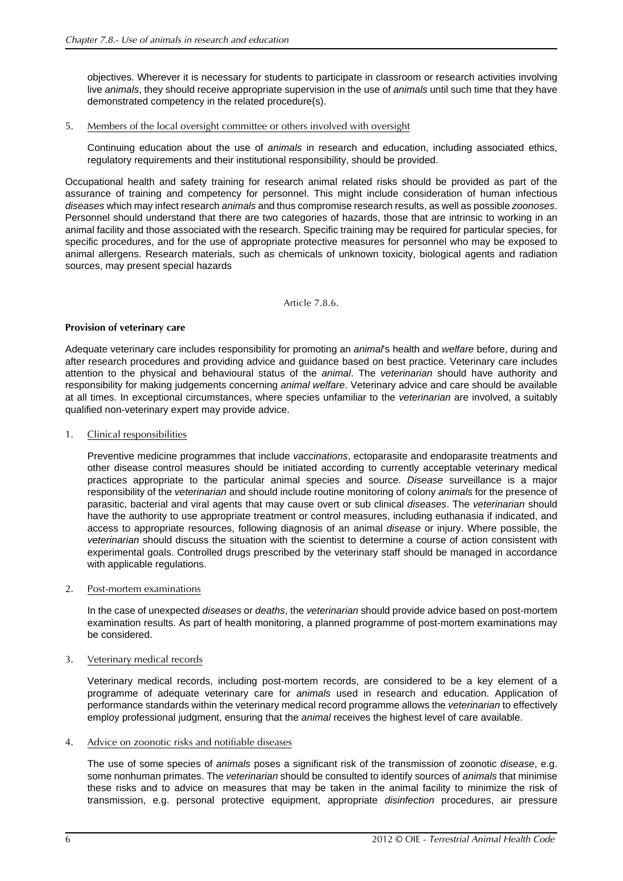objectives. Wherever it is necessary for students to participate in classroom or research activities involving live *animals*, they should receive appropriate supervision in the use of *animals* until such time that they have demonstrated competency in the related procedure(s).

5. Members of the local oversight committee or others involved with oversight

Continuing education about the use of *animals* in research and education, including associated ethics, regulatory requirements and their institutional responsibility, should be provided.

Occupational health and safety training for research animal related risks should be provided as part of the assurance of training and competency for personnel. This might include consideration of human infectious *diseases* which may infect research *animals* and thus compromise research results, as well as possible *zoonoses*. Personnel should understand that there are two categories of hazards, those that are intrinsic to working in an animal facility and those associated with the research. Specific training may be required for particular species, for specific procedures, and for the use of appropriate protective measures for personnel who may be exposed to animal allergens. Research materials, such as chemicals of unknown toxicity, biological agents and radiation sources, may present special hazards

Article 7.8.6.

## **Provision of veterinary care**

Adequate veterinary care includes responsibility for promoting an *animal*'s health and *welfare* before, during and after research procedures and providing advice and guidance based on best practice. Veterinary care includes attention to the physical and behavioural status of the *animal*. The *veterinarian* should have authority and responsibility for making judgements concerning *animal welfare*. Veterinary advice and care should be available at all times. In exceptional circumstances, where species unfamiliar to the *veterinarian* are involved, a suitably qualified non-veterinary expert may provide advice.

## 1. Clinical responsibilities

Preventive medicine programmes that include *vaccinations*, ectoparasite and endoparasite treatments and other disease control measures should be initiated according to currently acceptable veterinary medical practices appropriate to the particular animal species and source. *Disease* surveillance is a major responsibility of the *veterinarian* and should include routine monitoring of colony *animals* for the presence of parasitic, bacterial and viral agents that may cause overt or sub clinical *diseases*. The *veterinarian* should have the authority to use appropriate treatment or control measures, including euthanasia if indicated, and access to appropriate resources, following diagnosis of an animal *disease* or injury. Where possible, the *veterinarian* should discuss the situation with the scientist to determine a course of action consistent with experimental goals. Controlled drugs prescribed by the veterinary staff should be managed in accordance with applicable regulations.

#### 2. Post-mortem examinations

In the case of unexpected *diseases* or *deaths*, the *veterinarian* should provide advice based on post-mortem examination results. As part of health monitoring, a planned programme of post-mortem examinations may be considered.

## 3. Veterinary medical records

Veterinary medical records, including post-mortem records, are considered to be a key element of a programme of adequate veterinary care for *animals* used in research and education. Application of performance standards within the veterinary medical record programme allows the *veterinarian* to effectively employ professional judgment, ensuring that the *animal* receives the highest level of care available.

#### 4. Advice on zoonotic risks and notifiable diseases

The use of some species of *animals* poses a significant risk of the transmission of zoonotic *disease*, e.g. some nonhuman primates. The *veterinarian* should be consulted to identify sources of *animals* that minimise these risks and to advice on measures that may be taken in the animal facility to minimize the risk of transmission, e.g. personal protective equipment, appropriate *disinfection* procedures, air pressure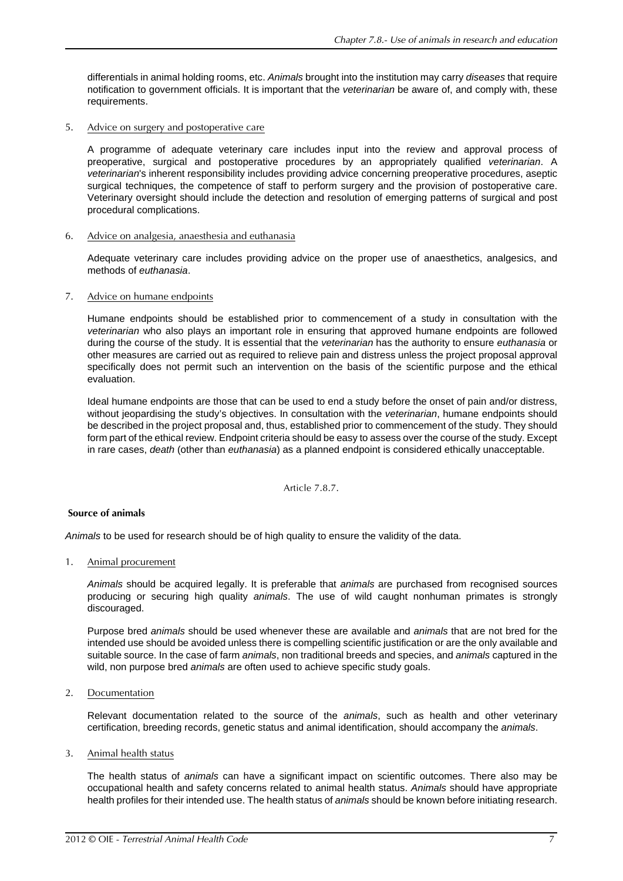differentials in animal holding rooms, etc. *Animals* brought into the institution may carry *diseases* that require notification to government officials. It is important that the *veterinarian* be aware of, and comply with, these requirements.

#### 5. Advice on surgery and postoperative care

A programme of adequate veterinary care includes input into the review and approval process of preoperative, surgical and postoperative procedures by an appropriately qualified *veterinarian*. A *veterinarian*'s inherent responsibility includes providing advice concerning preoperative procedures, aseptic surgical techniques, the competence of staff to perform surgery and the provision of postoperative care. Veterinary oversight should include the detection and resolution of emerging patterns of surgical and post procedural complications.

## 6. Advice on analgesia, anaesthesia and euthanasia

Adequate veterinary care includes providing advice on the proper use of anaesthetics, analgesics, and methods of *euthanasia*.

## 7. Advice on humane endpoints

Humane endpoints should be established prior to commencement of a study in consultation with the *veterinarian* who also plays an important role in ensuring that approved humane endpoints are followed during the course of the study. It is essential that the *veterinarian* has the authority to ensure *euthanasia* or other measures are carried out as required to relieve pain and distress unless the project proposal approval specifically does not permit such an intervention on the basis of the scientific purpose and the ethical evaluation.

Ideal humane endpoints are those that can be used to end a study before the onset of pain and/or distress, without jeopardising the study's objectives. In consultation with the *veterinarian*, humane endpoints should be described in the project proposal and, thus, established prior to commencement of the study. They should form part of the ethical review. Endpoint criteria should be easy to assess over the course of the study. Except in rare cases, *death* (other than *euthanasia*) as a planned endpoint is considered ethically unacceptable.

Article 7.8.7.

#### **Source of animals**

*Animals* to be used for research should be of high quality to ensure the validity of the data.

1. Animal procurement

*Animals* should be acquired legally. It is preferable that *animals* are purchased from recognised sources producing or securing high quality *animals*. The use of wild caught nonhuman primates is strongly discouraged.

Purpose bred *animals* should be used whenever these are available and *animals* that are not bred for the intended use should be avoided unless there is compelling scientific justification or are the only available and suitable source. In the case of farm *animals*, non traditional breeds and species, and *animals* captured in the wild, non purpose bred *animals* are often used to achieve specific study goals.

## 2. Documentation

Relevant documentation related to the source of the *animals*, such as health and other veterinary certification, breeding records, genetic status and animal identification, should accompany the *animals*.

3. Animal health status

The health status of *animals* can have a significant impact on scientific outcomes. There also may be occupational health and safety concerns related to animal health status. *Animals* should have appropriate health profiles for their intended use. The health status of *animals* should be known before initiating research.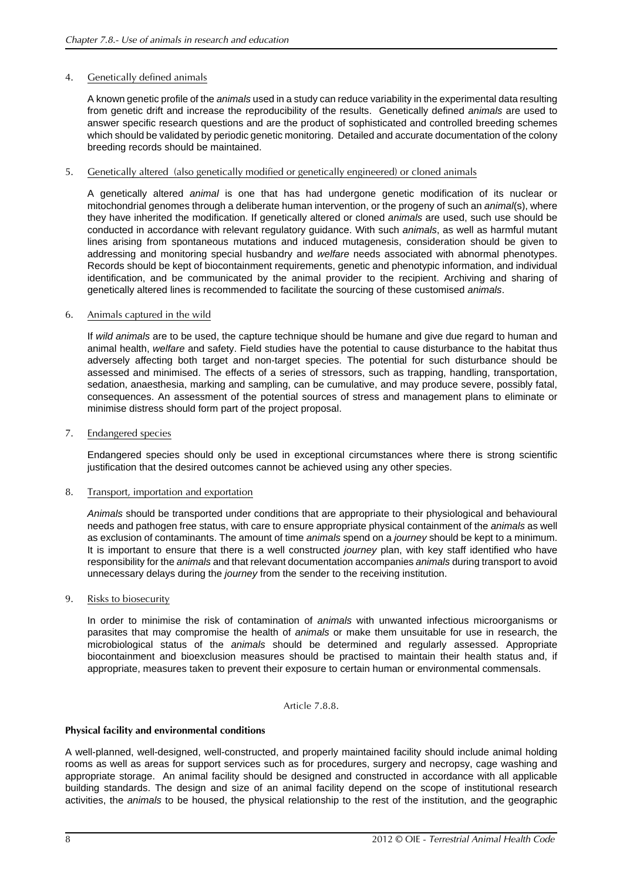## 4. Genetically defined animals

A known genetic profile of the *animals* used in a study can reduce variability in the experimental data resulting from genetic drift and increase the reproducibility of the results. Genetically defined *animals* are used to answer specific research questions and are the product of sophisticated and controlled breeding schemes which should be validated by periodic genetic monitoring. Detailed and accurate documentation of the colony breeding records should be maintained.

## 5. Genetically altered (also genetically modified or genetically engineered) or cloned animals

A genetically altered *animal* is one that has had undergone genetic modification of its nuclear or mitochondrial genomes through a deliberate human intervention, or the progeny of such an *animal*(s), where they have inherited the modification. If genetically altered or cloned *animals* are used, such use should be conducted in accordance with relevant regulatory guidance. With such *animals*, as well as harmful mutant lines arising from spontaneous mutations and induced mutagenesis, consideration should be given to addressing and monitoring special husbandry and *welfare* needs associated with abnormal phenotypes. Records should be kept of biocontainment requirements, genetic and phenotypic information, and individual identification, and be communicated by the animal provider to the recipient. Archiving and sharing of genetically altered lines is recommended to facilitate the sourcing of these customised *animals*.

## 6. Animals captured in the wild

If *wild animals* are to be used, the capture technique should be humane and give due regard to human and animal health, *welfare* and safety. Field studies have the potential to cause disturbance to the habitat thus adversely affecting both target and non-target species. The potential for such disturbance should be assessed and minimised. The effects of a series of stressors, such as trapping, handling, transportation, sedation, anaesthesia, marking and sampling, can be cumulative, and may produce severe, possibly fatal, consequences. An assessment of the potential sources of stress and management plans to eliminate or minimise distress should form part of the project proposal.

7. Endangered species

Endangered species should only be used in exceptional circumstances where there is strong scientific justification that the desired outcomes cannot be achieved using any other species.

## 8. Transport, importation and exportation

*Animals* should be transported under conditions that are appropriate to their physiological and behavioural needs and pathogen free status, with care to ensure appropriate physical containment of the *animals* as well as exclusion of contaminants. The amount of time *animals* spend on a *journey* should be kept to a minimum. It is important to ensure that there is a well constructed *journey* plan, with key staff identified who have responsibility for the *animals* and that relevant documentation accompanies *animals* during transport to avoid unnecessary delays during the *journey* from the sender to the receiving institution.

9. Risks to biosecurity

In order to minimise the risk of contamination of *animals* with unwanted infectious microorganisms or parasites that may compromise the health of *animals* or make them unsuitable for use in research, the microbiological status of the *animals* should be determined and regularly assessed. Appropriate biocontainment and bioexclusion measures should be practised to maintain their health status and, if appropriate, measures taken to prevent their exposure to certain human or environmental commensals.

#### Article 7.8.8.

#### **Physical facility and environmental conditions**

A well-planned, well-designed, well-constructed, and properly maintained facility should include animal holding rooms as well as areas for support services such as for procedures, surgery and necropsy, cage washing and appropriate storage. An animal facility should be designed and constructed in accordance with all applicable building standards. The design and size of an animal facility depend on the scope of institutional research activities, the *animals* to be housed, the physical relationship to the rest of the institution, and the geographic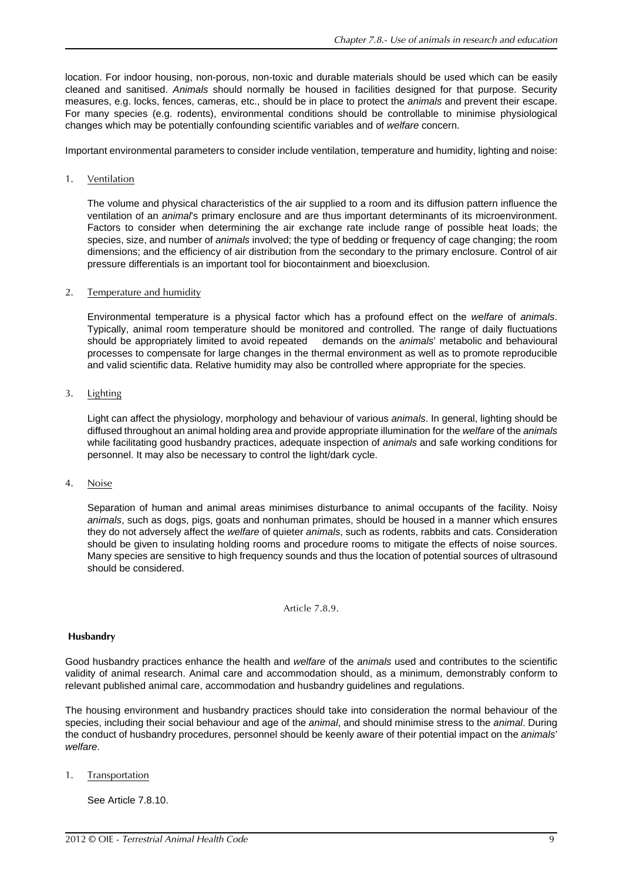location. For indoor housing, non-porous, non-toxic and durable materials should be used which can be easily cleaned and sanitised. *Animals* should normally be housed in facilities designed for that purpose. Security measures, e.g. locks, fences, cameras, etc., should be in place to protect the *animals* and prevent their escape. For many species (e.g. rodents), environmental conditions should be controllable to minimise physiological changes which may be potentially confounding scientific variables and of *welfare* concern.

Important environmental parameters to consider include ventilation, temperature and humidity, lighting and noise:

## 1. Ventilation

The volume and physical characteristics of the air supplied to a room and its diffusion pattern influence the ventilation of an *animal*'s primary enclosure and are thus important determinants of its microenvironment. Factors to consider when determining the air exchange rate include range of possible heat loads; the species, size, and number of *animals* involved; the type of bedding or frequency of cage changing; the room dimensions; and the efficiency of air distribution from the secondary to the primary enclosure. Control of air pressure differentials is an important tool for biocontainment and bioexclusion.

## 2. Temperature and humidity

Environmental temperature is a physical factor which has a profound effect on the *welfare* of *animals*. Typically, animal room temperature should be monitored and controlled. The range of daily fluctuations should be appropriately limited to avoid repeated demands on the *animals*' metabolic and behavioural processes to compensate for large changes in the thermal environment as well as to promote reproducible and valid scientific data. Relative humidity may also be controlled where appropriate for the species.

## 3. Lighting

Light can affect the physiology, morphology and behaviour of various *animals*. In general, lighting should be diffused throughout an animal holding area and provide appropriate illumination for the *welfare* of the *animals* while facilitating good husbandry practices, adequate inspection of *animals* and safe working conditions for personnel. It may also be necessary to control the light/dark cycle.

#### 4. Noise

Separation of human and animal areas minimises disturbance to animal occupants of the facility. Noisy *animals*, such as dogs, pigs, goats and nonhuman primates, should be housed in a manner which ensures they do not adversely affect the *welfare* of quieter *animals*, such as rodents, rabbits and cats. Consideration should be given to insulating holding rooms and procedure rooms to mitigate the effects of noise sources. Many species are sensitive to high frequency sounds and thus the location of potential sources of ultrasound should be considered.

Article 7.8.9.

#### **Husbandry**

Good husbandry practices enhance the health and *welfare* of the *animals* used and contributes to the scientific validity of animal research. Animal care and accommodation should, as a minimum, demonstrably conform to relevant published animal care, accommodation and husbandry guidelines and regulations.

The housing environment and husbandry practices should take into consideration the normal behaviour of the species, including their social behaviour and age of the *animal*, and should minimise stress to the *animal*. During the conduct of husbandry procedures, personnel should be keenly aware of their potential impact on the *animals*' *welfare*.

1. Transportation

See Article 7.8.10.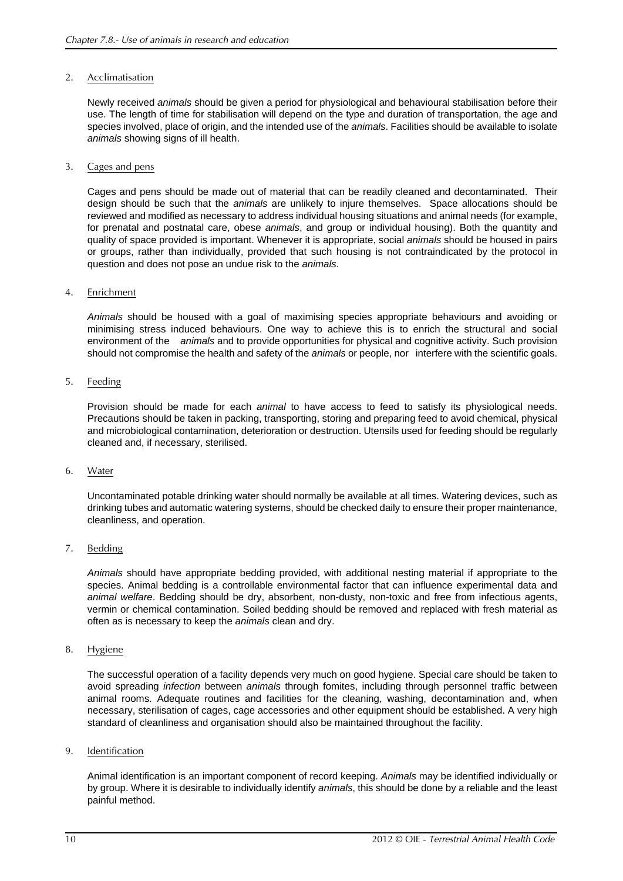## 2. Acclimatisation

Newly received *animals* should be given a period for physiological and behavioural stabilisation before their use. The length of time for stabilisation will depend on the type and duration of transportation, the age and species involved, place of origin, and the intended use of the *animals*. Facilities should be available to isolate *animals* showing signs of ill health.

#### 3. Cages and pens

Cages and pens should be made out of material that can be readily cleaned and decontaminated. Their design should be such that the *animals* are unlikely to injure themselves. Space allocations should be reviewed and modified as necessary to address individual housing situations and animal needs (for example, for prenatal and postnatal care, obese *animals*, and group or individual housing). Both the quantity and quality of space provided is important. Whenever it is appropriate, social *animals* should be housed in pairs or groups, rather than individually, provided that such housing is not contraindicated by the protocol in question and does not pose an undue risk to the *animals*.

#### 4. Enrichment

*Animals* should be housed with a goal of maximising species appropriate behaviours and avoiding or minimising stress induced behaviours. One way to achieve this is to enrich the structural and social environment of the *animals* and to provide opportunities for physical and cognitive activity. Such provision should not compromise the health and safety of the *animals* or people, nor interfere with the scientific goals.

## 5. Feeding

Provision should be made for each *animal* to have access to feed to satisfy its physiological needs. Precautions should be taken in packing, transporting, storing and preparing feed to avoid chemical, physical and microbiological contamination, deterioration or destruction. Utensils used for feeding should be regularly cleaned and, if necessary, sterilised.

#### 6. Water

Uncontaminated potable drinking water should normally be available at all times. Watering devices, such as drinking tubes and automatic watering systems, should be checked daily to ensure their proper maintenance, cleanliness, and operation.

#### 7. Bedding

*Animals* should have appropriate bedding provided, with additional nesting material if appropriate to the species. Animal bedding is a controllable environmental factor that can influence experimental data and *animal welfare*. Bedding should be dry, absorbent, non-dusty, non-toxic and free from infectious agents, vermin or chemical contamination. Soiled bedding should be removed and replaced with fresh material as often as is necessary to keep the *animals* clean and dry.

#### 8. Hygiene

The successful operation of a facility depends very much on good hygiene. Special care should be taken to avoid spreading *infection* between *animals* through fomites, including through personnel traffic between animal rooms. Adequate routines and facilities for the cleaning, washing, decontamination and, when necessary, sterilisation of cages, cage accessories and other equipment should be established. A very high standard of cleanliness and organisation should also be maintained throughout the facility.

#### 9. Identification

Animal identification is an important component of record keeping. *Animals* may be identified individually or by group. Where it is desirable to individually identify *animals*, this should be done by a reliable and the least painful method.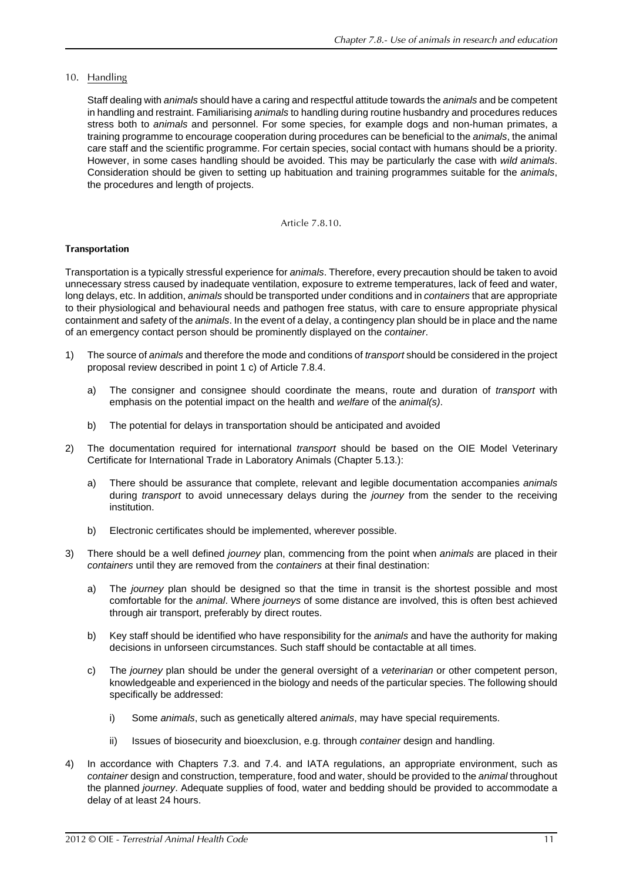10. Handling

Staff dealing with *animals* should have a caring and respectful attitude towards the *animals* and be competent in handling and restraint. Familiarising *animals* to handling during routine husbandry and procedures reduces stress both to *animals* and personnel. For some species, for example dogs and non-human primates, a training programme to encourage cooperation during procedures can be beneficial to the *animals*, the animal care staff and the scientific programme. For certain species, social contact with humans should be a priority. However, in some cases handling should be avoided. This may be particularly the case with *wild animals*. Consideration should be given to setting up habituation and training programmes suitable for the *animals*, the procedures and length of projects.

Article 7.8.10.

## **Transportation**

Transportation is a typically stressful experience for *animals*. Therefore, every precaution should be taken to avoid unnecessary stress caused by inadequate ventilation, exposure to extreme temperatures, lack of feed and water, long delays, etc. In addition, *animals* should be transported under conditions and in *containers* that are appropriate to their physiological and behavioural needs and pathogen free status, with care to ensure appropriate physical containment and safety of the *animals*. In the event of a delay, a contingency plan should be in place and the name of an emergency contact person should be prominently displayed on the *container*.

- 1) The source of *animals* and therefore the mode and conditions of *transport* should be considered in the project proposal review described in point 1 c) of Article [7.8.4.](#page-2-1)
	- a) The consigner and consignee should coordinate the means, route and duration of *transport* with emphasis on the potential impact on the health and *welfare* of the *animal(s)*.
	- b) The potential for delays in transportation should be anticipated and avoided
- 2) The documentation required for international *transport* should be based on the OIE Model Veterinary Certificate for International Trade in Laboratory Animals (Chapter 5.13.):
	- a) There should be assurance that complete, relevant and legible documentation accompanies *animals* during *transport* to avoid unnecessary delays during the *journey* from the sender to the receiving institution.
	- b) Electronic certificates should be implemented, wherever possible.
- 3) There should be a well defined *journey* plan, commencing from the point when *animals* are placed in their *containers* until they are removed from the *containers* at their final destination:
	- a) The *journey* plan should be designed so that the time in transit is the shortest possible and most comfortable for the *animal*. Where *journeys* of some distance are involved, this is often best achieved through air transport, preferably by direct routes.
	- b) Key staff should be identified who have responsibility for the *animals* and have the authority for making decisions in unforseen circumstances. Such staff should be contactable at all times.
	- c) The *journey* plan should be under the general oversight of a *veterinarian* or other competent person, knowledgeable and experienced in the biology and needs of the particular species. The following should specifically be addressed:
		- i) Some *animals*, such as genetically altered *animals*, may have special requirements.
		- ii) Issues of biosecurity and bioexclusion, e.g. through *container* design and handling.
- 4) In accordance with Chapters 7.3. and 7.4. and IATA regulations, an appropriate environment, such as *container* design and construction, temperature, food and water, should be provided to the *animal* throughout the planned *journey*. Adequate supplies of food, water and bedding should be provided to accommodate a delay of at least 24 hours.